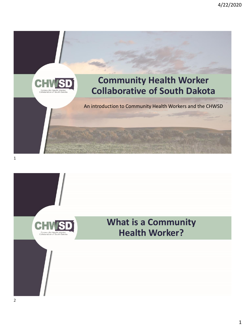



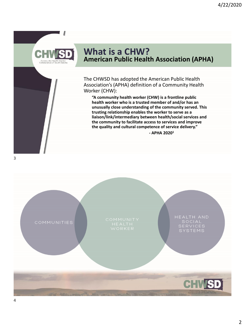### **What is a CHW? American Public Health Association (APHA)**

The CHWSD has adopted the American Public Health Association's (APHA) definition of a Community Health Worker (CHW):

**"A community health worker (CHW) is a frontline public health worker who is a trusted member of and/or has an unusually close understanding of the community served. This trusting relationship enables the worker to serve as a liaison/link/intermediary between health/social services and the community to facilitate access to services and improve the quality and cultural competence of service delivery." - APHA 2020<sup>1</sup>**

3

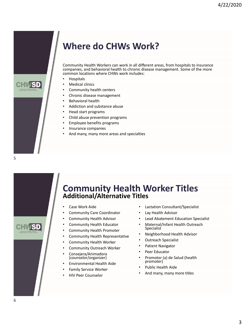

## **Where do CHWs Work?**

Community Health Workers can work in all different areas, from hospitals to insurance companies, and behavioral health to chronic disease management. Some of the more common locations where CHWs work includes:

- Hospitals
- Medical clinics
- Community health centers
- Chronic disease management
- Behavioral health
- Addiction and substance abuse
- Head start programs
- Child abuse prevention programs
- Employee benefits programs
- Insurance companies
- And many, many more areas and specialties

### **Community Health Worker Titles Additional/Alternative Titles**

- Case Work Aide
- Community Care Coordinator
- Community Health Advisor
- Community Health Educator
- Community Health Promoter
- Community Health Representative
- Community Health Worker
- Community Outreach Worker
- Consejera/Animadora (counselor/organizer)
- Environmental Health Aide
- Family Service Worker
- HIV Peer Counselor
- Lactation Consultant/Specialist
- Lay Health Advisor
- Lead Abatement Education Specialist
- Maternal/Infant Health Outreach Specialist
- Neighborhood Health Advisor
- Outreach Specialist
- Patient Navigator
- Peer Educator
- Promotor (a) de Salud (health promoter)
- Public Health Aide
- And many, many more titles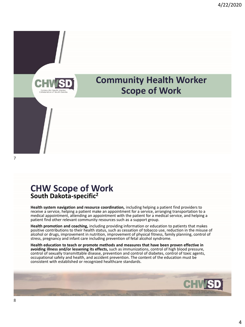

### **CHW Scope of Work South Dakota-specific<sup>2</sup>**

**Health system navigation and resource coordination,** including helping a patient find providers to receive a service, helping a patient make an appointment for a service, arranging transportation to a medical appointment, attending an appointment with the patient for a medical service, and helping a patient find other relevant community resources such as a support group.

**Health promotion and coaching,** including providing information or education to patients that makes positive contributions to their health status, such as cessation of tobacco use, reduction in the misuse of alcohol or drugs, improvement in nutrition, improvement of physical fitness, family planning, control of stress, pregnancy and infant care including prevention of fetal alcohol syndrome.

**Health education to teach or promote methods and measures that have been proven effective in avoiding illness and/or lessening its effects,** such as immunizations, control of high blood pressure, control of sexually transmittable disease, prevention and control of diabetes, control of toxic agents, occupational safety and health, and accident prevention. The content of the education must be consistent with established or recognized healthcare standards.

**CHWSD**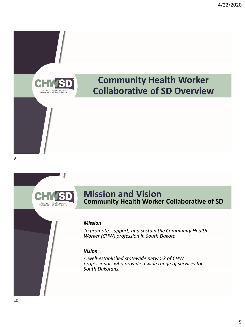



### **Mission and Vision Community Health Worker Collaborative of SD**

#### *Mission*

*To promote, support, and sustain the Community Health Worker (CHW) profession in South Dakota.*

#### *Vision*

*A well-established statewide network of CHW professionals who provide a wide range of services for South Dakotans.*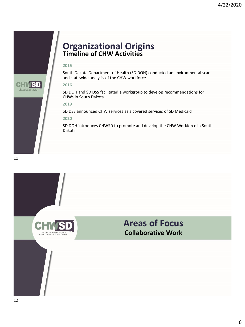



### **Organizational Origins Timeline of CHW Activities**

#### **2015**

South Dakota Department of Health (SD DOH) conducted an environmental scan and statewide analysis of the CHW workforce

#### **2016**

SD DOH and SD DSS facilitated a workgroup to develop recommendations for CHWs in South Dakota

#### **2019**

SD DSS announced CHW services as a covered services of SD Medicaid

#### **2020**

SD DOH introduces CHWSD to promote and develop the CHW Workforce in South Dakota

### **Areas of Focus Collaborative Work**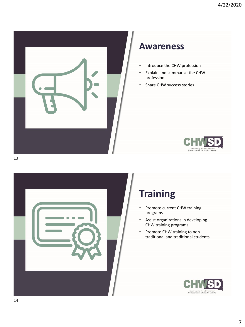

### **Awareness**

- Introduce the CHW profession
- Explain and summarize the CHW profession
- Share CHW success stories





# **Training**

- Promote current CHW training programs
- Assist organizations in developing CHW training programs
- Promote CHW training to nontraditional and traditional students

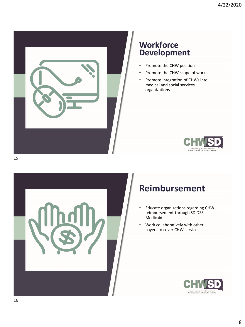

### **Workforce Development**

- Promote the CHW position
- Promote the CHW scope of work
- Promote integration of CHWs into medical and social services organizations





## **Reimbursement**

- Educate organizations regarding CHW reimbursement through SD DSS Medicaid
- Work collaboratively with other payers to cover CHW services

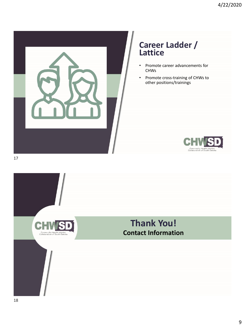

### **Career Ladder / Lattice**

- Promote career advancements for CHWs
- Promote cross-training of CHWs to other positions/trainings